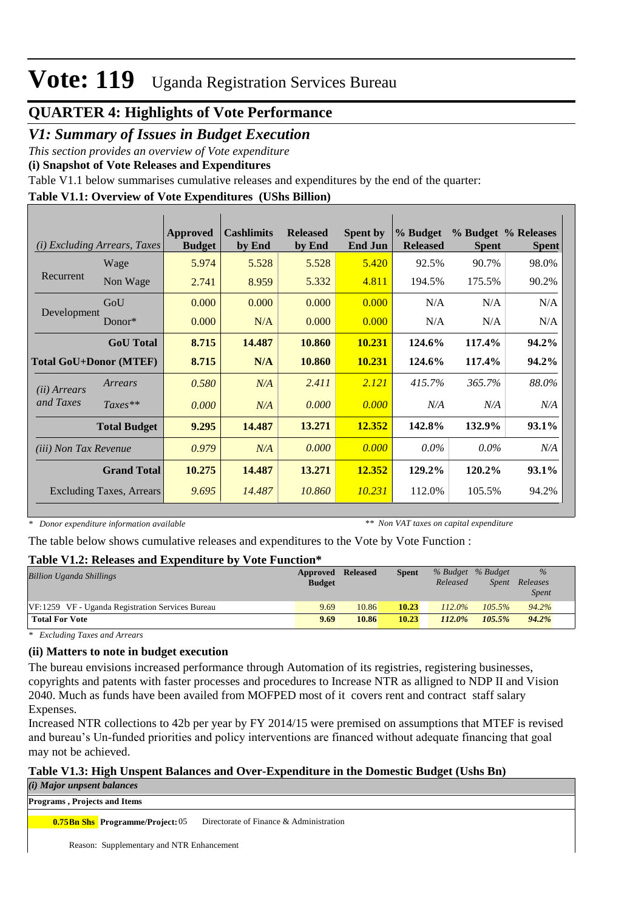### **QUARTER 4: Highlights of Vote Performance**

#### *V1: Summary of Issues in Budget Execution*

*This section provides an overview of Vote expenditure* 

**(i) Snapshot of Vote Releases and Expenditures**

Table V1.1 below summarises cumulative releases and expenditures by the end of the quarter:

#### **Table V1.1: Overview of Vote Expenditures (UShs Billion)**

| (i)                             | <b>Excluding Arrears, Taxes</b> | <b>Approved</b><br><b>Budget</b> | <b>Cashlimits</b><br>by End | <b>Released</b><br>by End | <b>Spent by</b><br><b>End Jun</b> | % Budget<br><b>Released</b> | <b>Spent</b> | % Budget % Releases<br><b>Spent</b> |
|---------------------------------|---------------------------------|----------------------------------|-----------------------------|---------------------------|-----------------------------------|-----------------------------|--------------|-------------------------------------|
|                                 | Wage                            | 5.974                            | 5.528                       | 5.528                     | 5.420                             | 92.5%                       | 90.7%        | 98.0%                               |
| Recurrent                       | Non Wage                        | 2.741                            | 8.959                       | 5.332                     | 4.811                             | 194.5%                      | 175.5%       | 90.2%                               |
| Development                     | GoU                             | 0.000                            | 0.000                       | 0.000                     | 0.000                             | N/A                         | N/A          | N/A                                 |
|                                 | Donor $*$                       | 0.000                            | N/A                         | 0.000                     | 0.000                             | N/A                         | N/A          | N/A                                 |
|                                 | <b>GoU</b> Total                | 8.715                            | 14.487                      | 10.860                    | 10.231                            | 124.6%                      | 117.4%       | 94.2%                               |
| <b>Total GoU+Donor (MTEF)</b>   |                                 | 8.715                            | N/A                         | 10.860                    | 10.231                            | 124.6%                      | 117.4%       | 94.2%                               |
| ( <i>ii</i> ) Arrears           | Arrears                         | 0.580                            | N/A                         | 2.411                     | 2.121                             | 415.7%                      | 365.7%       | 88.0%                               |
| and Taxes                       | $Taxes**$                       | 0.000                            | N/A                         | 0.000                     | 0.000                             | N/A                         | N/A          | N/A                                 |
|                                 | <b>Total Budget</b>             | 9.295                            | 14.487                      | 13.271                    | 12.352                            | 142.8%                      | 132.9%       | 93.1%                               |
| <i>(iii)</i> Non Tax Revenue    |                                 | 0.979                            | N/A                         | 0.000                     | 0.000                             | $0.0\%$                     | $0.0\%$      | N/A                                 |
|                                 | <b>Grand Total</b>              | 10.275                           | 14.487                      | 13.271                    | 12.352                            | 129.2%                      | 120.2%       | 93.1%                               |
| <b>Excluding Taxes, Arrears</b> |                                 | 9.695                            | 14.487                      | 10.860                    | 10.231                            | 112.0%                      | 105.5%       | 94.2%                               |

*\* Donor expenditure information available*

*\*\* Non VAT taxes on capital expenditure*

The table below shows cumulative releases and expenditures to the Vote by Vote Function :

#### **Table V1.2: Releases and Expenditure by Vote Function\***

| <b>Billion Uganda Shillings</b>                  | Approved<br><b>Budget</b> | <b>Released</b> | Spent | % Budget % Budget<br>Released | <i>Spent</i> | $\%$<br>Releases<br><i>Spent</i> |
|--------------------------------------------------|---------------------------|-----------------|-------|-------------------------------|--------------|----------------------------------|
| VF:1259 VF - Uganda Registration Services Bureau | 9.69                      | 10.86           | 10.23 | $112.0\%$                     | $105.5\%$    | 94.2%                            |
| <b>Total For Vote</b>                            | 9.69                      | 10.86           | 10.23 | $112.0\%$                     | 105.5%       | $94.2\%$                         |

*\* Excluding Taxes and Arrears*

#### **(ii) Matters to note in budget execution**

The bureau envisions increased performance through Automation of its registries, registering businesses, copyrights and patents with faster processes and procedures to Increase NTR as alligned to NDP II and Vision 2040. Much as funds have been availed from MOFPED most of it covers rent and contract staff salary Expenses.

Increased NTR collections to 42b per year by FY 2014/15 were premised on assumptions that MTEF is revised and bureau's Un-funded priorities and policy interventions are financed without adequate financing that goal may not be achieved.

#### **Table V1.3: High Unspent Balances and Over-Expenditure in the Domestic Budget (Ushs Bn)**

*(i) Major unpsent balances*

**Programs , Projects and Items**

**Directorate of Finance & Administration 0.75Bn Shs** Programme/Project: 05

Reason: Supplementary and NTR Enhancement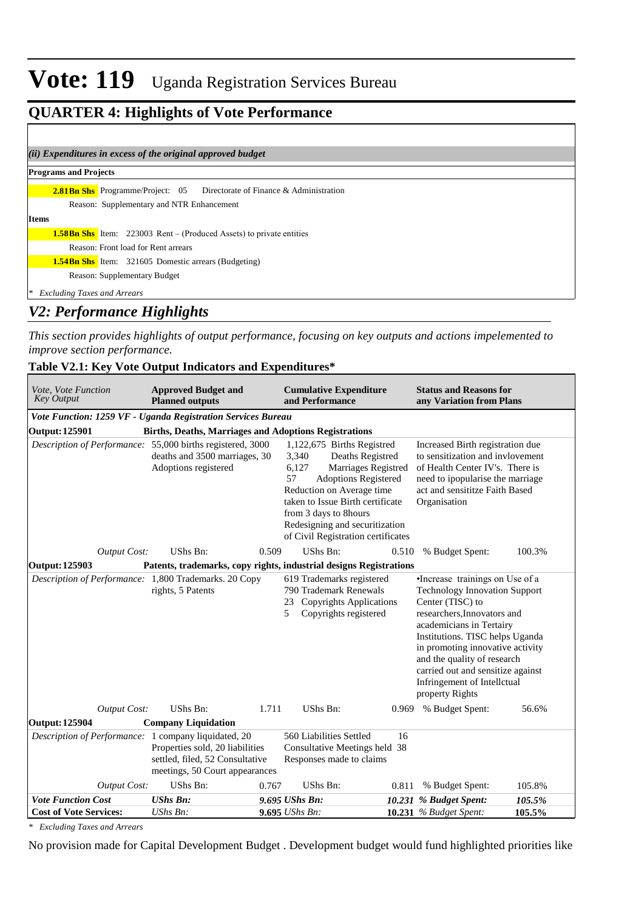## **QUARTER 4: Highlights of Vote Performance**

| (ii) Expenditures in excess of the original approved budget                     |
|---------------------------------------------------------------------------------|
| <b>Programs and Projects</b>                                                    |
| <b>2.81Bn Shs</b> Programme/Project: 05 Directorate of Finance & Administration |
| Reason: Supplementary and NTR Enhancement                                       |
| <b>Items</b>                                                                    |
| <b>1.58Bn Shs</b> Item: 223003 Rent – (Produced Assets) to private entities     |
| Reason: Front load for Rent arrears                                             |
| <b>1.54Bn Shs</b> Item: 321605 Domestic arrears (Budgeting)                     |
| Reason: Supplementary Budget                                                    |
| <b>Excluding Taxes and Arrears</b><br>l≫k                                       |

### *V2: Performance Highlights*

*This section provides highlights of output performance, focusing on key outputs and actions impelemented to improve section performance.*

#### **Table V2.1: Key Vote Output Indicators and Expenditures\***

| Vote, Vote Function<br><b>Key Output</b>                     | <b>Approved Budget and</b><br><b>Planned outputs</b>                                                 |                                                                                                                                                                                                                                                                                                | <b>Cumulative Expenditure</b><br>and Performance                                                                |       |                                                                                                                                                                                                                                                                                                                                                     | <b>Status and Reasons for</b><br>any Variation from Plans |  |  |
|--------------------------------------------------------------|------------------------------------------------------------------------------------------------------|------------------------------------------------------------------------------------------------------------------------------------------------------------------------------------------------------------------------------------------------------------------------------------------------|-----------------------------------------------------------------------------------------------------------------|-------|-----------------------------------------------------------------------------------------------------------------------------------------------------------------------------------------------------------------------------------------------------------------------------------------------------------------------------------------------------|-----------------------------------------------------------|--|--|
| Vote Function: 1259 VF - Uganda Registration Services Bureau |                                                                                                      |                                                                                                                                                                                                                                                                                                |                                                                                                                 |       |                                                                                                                                                                                                                                                                                                                                                     |                                                           |  |  |
| <b>Output: 125901</b>                                        | <b>Births, Deaths, Marriages and Adoptions Registrations</b>                                         |                                                                                                                                                                                                                                                                                                |                                                                                                                 |       |                                                                                                                                                                                                                                                                                                                                                     |                                                           |  |  |
| Description of Performance: 55,000 births registered, 3000   | deaths and 3500 marriages, 30<br>Adoptions registered                                                | 1,122,675 Births Registred<br>Deaths Registred<br>3,340<br>Marriages Registred<br>6,127<br>57<br><b>Adoptions Registered</b><br>Reduction on Average time<br>taken to Issue Birth certificate<br>from 3 days to 8hours<br>Redesigning and securitization<br>of Civil Registration certificates |                                                                                                                 |       | Increased Birth registration due<br>to sensitization and invlovement<br>of Health Center IV's. There is<br>need to ipopularise the marriage<br>act and sensititze Faith Based<br>Organisation                                                                                                                                                       |                                                           |  |  |
| <b>Output Cost:</b>                                          | UShs Bn:                                                                                             | 0.509                                                                                                                                                                                                                                                                                          | UShs Bn:                                                                                                        | 0.510 | % Budget Spent:                                                                                                                                                                                                                                                                                                                                     | 100.3%                                                    |  |  |
| Output: 125903                                               | Patents, trademarks, copy rights, industrial designs Registrations                                   |                                                                                                                                                                                                                                                                                                |                                                                                                                 |       |                                                                                                                                                                                                                                                                                                                                                     |                                                           |  |  |
| Description of Performance: 1,800 Trademarks. 20 Copy        | rights, 5 Patents                                                                                    |                                                                                                                                                                                                                                                                                                | 619 Trademarks registered<br>790 Trademark Renewals<br>23 Copyrights Applications<br>Copyrights registered<br>5 |       | •Increase trainings on Use of a<br><b>Technology Innovation Support</b><br>Center (TISC) to<br>researchers, Innovators and<br>academicians in Tertairy<br>Institutions. TISC helps Uganda<br>in promoting innovative activity<br>and the quality of research<br>carried out and sensitize against<br>Infringement of Intellctual<br>property Rights |                                                           |  |  |
| <b>Output Cost:</b>                                          | UShs Bn:                                                                                             | 1.711                                                                                                                                                                                                                                                                                          | UShs Bn:                                                                                                        | 0.969 | % Budget Spent:                                                                                                                                                                                                                                                                                                                                     | 56.6%                                                     |  |  |
| <b>Output: 125904</b>                                        | <b>Company Liquidation</b>                                                                           |                                                                                                                                                                                                                                                                                                |                                                                                                                 |       |                                                                                                                                                                                                                                                                                                                                                     |                                                           |  |  |
| Description of Performance: 1 company liquidated, 20         | Properties sold, 20 liabilities<br>settled, filed, 52 Consultative<br>meetings, 50 Court appearances |                                                                                                                                                                                                                                                                                                | 560 Liabilities Settled<br>Consultative Meetings held 38<br>Responses made to claims                            | 16    |                                                                                                                                                                                                                                                                                                                                                     |                                                           |  |  |
| <b>Output Cost:</b>                                          | UShs Bn:                                                                                             | 0.767                                                                                                                                                                                                                                                                                          | UShs Bn:                                                                                                        |       | 0.811 % Budget Spent:                                                                                                                                                                                                                                                                                                                               | 105.8%                                                    |  |  |
| <b>Vote Function Cost</b>                                    | <b>UShs Bn:</b>                                                                                      |                                                                                                                                                                                                                                                                                                | 9.695 UShs Bn:                                                                                                  |       | 10.231 % Budget Spent:                                                                                                                                                                                                                                                                                                                              | 105.5%                                                    |  |  |
| <b>Cost of Vote Services:</b>                                | UShs Bn:                                                                                             |                                                                                                                                                                                                                                                                                                | $9.695$ UShs Bn:                                                                                                |       | <b>10.231</b> % Budget Spent:                                                                                                                                                                                                                                                                                                                       | 105.5%                                                    |  |  |

*\* Excluding Taxes and Arrears*

No provision made for Capital Development Budget . Development budget would fund highlighted priorities like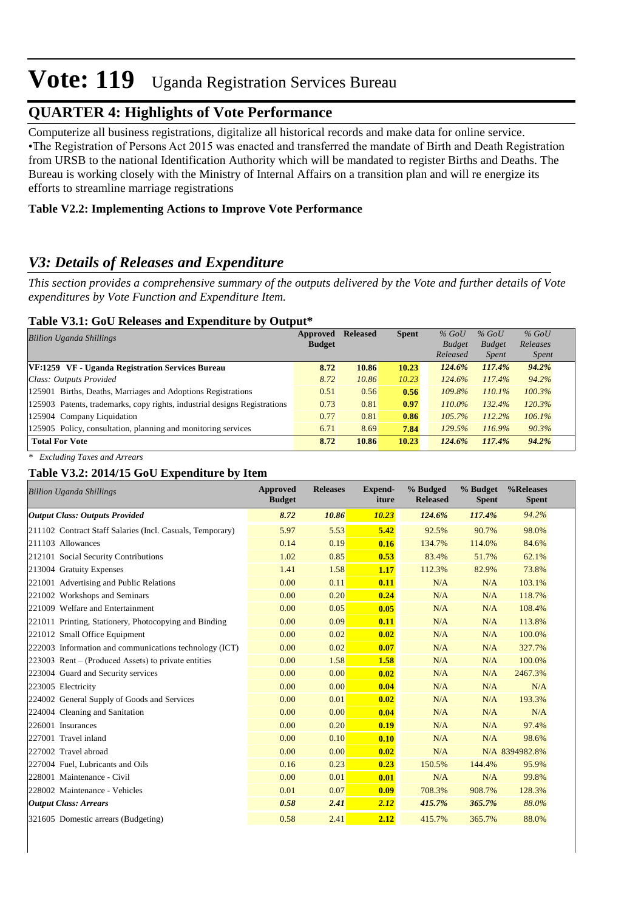### **QUARTER 4: Highlights of Vote Performance**

 Computerize all business registrations, digitalize all historical records and make data for online service. • The Registration of Persons Act 2015 was enacted and transferred the mandate of Birth and Death Registration from URSB to the national Identification Authority which will be mandated to register Births and Deaths. The Bureau is working closely with the Ministry of Internal Affairs on a transition plan and will re energize its efforts to streamline marriage registrations

#### **Table V2.2: Implementing Actions to Improve Vote Performance**

### *V3: Details of Releases and Expenditure*

*This section provides a comprehensive summary of the outputs delivered by the Vote and further details of Vote expenditures by Vote Function and Expenditure Item.*

#### **Table V3.1: GoU Releases and Expenditure by Output\***

| <b>Billion Uganda Shillings</b>                                           | Approved      | <b>Released</b> | <b>Spent</b> | $%$ GoU       | $%$ GoU       | $%$ GoU      |
|---------------------------------------------------------------------------|---------------|-----------------|--------------|---------------|---------------|--------------|
|                                                                           | <b>Budget</b> |                 |              | <b>Budget</b> | <b>Budget</b> | Releases     |
|                                                                           |               |                 |              | Released      | <i>Spent</i>  | <i>Spent</i> |
| VF:1259 VF - Uganda Registration Services Bureau                          | 8.72          | 10.86           | 10.23        | 124.6%        | 117.4%        | 94.2%        |
| Class: Outputs Provided                                                   | 8.72          | 10.86           | 10.23        | 124.6%        | 117.4%        | 94.2%        |
| 125901 Births, Deaths, Marriages and Adoptions Registrations              | 0.51          | 0.56            | 0.56         | 109.8%        | 110.1%        | 100.3%       |
| 125903 Patents, trademarks, copy rights, industrial designs Registrations | 0.73          | 0.81            | 0.97         | 110.0%        | 132.4%        | 120.3%       |
| 125904 Company Liquidation                                                | 0.77          | 0.81            | 0.86         | $105.7\%$     | 112.2%        | 106.1%       |
| 125905 Policy, consultation, planning and monitoring services             | 6.71          | 8.69            | 7.84         | 129.5%        | 116.9%        | 90.3%        |
| <b>Total For Vote</b>                                                     | 8.72          | 10.86           | 10.23        | 124.6%        | 117.4%        | 94.2%        |

*\* Excluding Taxes and Arrears*

#### **Table V3.2: 2014/15 GoU Expenditure by Item**

| <b>Billion Uganda Shillings</b>                           | <b>Approved</b><br><b>Budget</b> | <b>Releases</b> | <b>Expend-</b><br>iture | % Budged<br><b>Released</b> | % Budget<br><b>Spent</b> | %Releases<br><b>Spent</b> |
|-----------------------------------------------------------|----------------------------------|-----------------|-------------------------|-----------------------------|--------------------------|---------------------------|
| <b>Output Class: Outputs Provided</b>                     | 8.72                             | 10.86           | 10.23                   | 124.6%                      | 117.4%                   | 94.2%                     |
| 211102 Contract Staff Salaries (Incl. Casuals, Temporary) | 5.97                             | 5.53            | 5.42                    | 92.5%                       | 90.7%                    | 98.0%                     |
| 211103 Allowances                                         | 0.14                             | 0.19            | 0.16                    | 134.7%                      | 114.0%                   | 84.6%                     |
| 212101 Social Security Contributions                      | 1.02                             | 0.85            | 0.53                    | 83.4%                       | 51.7%                    | 62.1%                     |
| 213004 Gratuity Expenses                                  | 1.41                             | 1.58            | 1.17                    | 112.3%                      | 82.9%                    | 73.8%                     |
| 221001 Advertising and Public Relations                   | 0.00                             | 0.11            | 0.11                    | N/A                         | N/A                      | 103.1%                    |
| 221002 Workshops and Seminars                             | 0.00                             | 0.20            | 0.24                    | N/A                         | N/A                      | 118.7%                    |
| 221009 Welfare and Entertainment                          | 0.00                             | 0.05            | 0.05                    | N/A                         | N/A                      | 108.4%                    |
| 221011 Printing, Stationery, Photocopying and Binding     | 0.00                             | 0.09            | 0.11                    | N/A                         | N/A                      | 113.8%                    |
| 221012 Small Office Equipment                             | 0.00                             | 0.02            | 0.02                    | N/A                         | N/A                      | 100.0%                    |
| 222003 Information and communications technology (ICT)    | 0.00                             | 0.02            | 0.07                    | N/A                         | N/A                      | 327.7%                    |
| 223003 Rent – (Produced Assets) to private entities       | 0.00                             | 1.58            | 1.58                    | N/A                         | N/A                      | 100.0%                    |
| 223004 Guard and Security services                        | 0.00                             | 0.00            | 0.02                    | N/A                         | N/A                      | 2467.3%                   |
| 223005 Electricity                                        | 0.00                             | 0.00            | 0.04                    | N/A                         | N/A                      | N/A                       |
| 224002 General Supply of Goods and Services               | 0.00                             | 0.01            | 0.02                    | N/A                         | N/A                      | 193.3%                    |
| 224004 Cleaning and Sanitation                            | 0.00                             | 0.00            | 0.04                    | N/A                         | N/A                      | N/A                       |
| 226001 Insurances                                         | 0.00                             | 0.20            | 0.19                    | N/A                         | N/A                      | 97.4%                     |
| 227001 Travel inland                                      | 0.00                             | 0.10            | 0.10                    | N/A                         | N/A                      | 98.6%                     |
| 227002 Travel abroad                                      | 0.00                             | 0.00            | 0.02                    | N/A                         |                          | N/A 8394982.8%            |
| 227004 Fuel, Lubricants and Oils                          | 0.16                             | 0.23            | 0.23                    | 150.5%                      | 144.4%                   | 95.9%                     |
| 228001 Maintenance - Civil                                | 0.00                             | 0.01            | 0.01                    | N/A                         | N/A                      | 99.8%                     |
| 228002 Maintenance - Vehicles                             | 0.01                             | 0.07            | 0.09                    | 708.3%                      | 908.7%                   | 128.3%                    |
| <b>Output Class: Arrears</b>                              | 0.58                             | 2.41            | 2.12                    | 415.7%                      | 365.7%                   | 88.0%                     |
| 321605 Domestic arrears (Budgeting)                       | 0.58                             | 2.41            | 2.12                    | 415.7%                      | 365.7%                   | 88.0%                     |